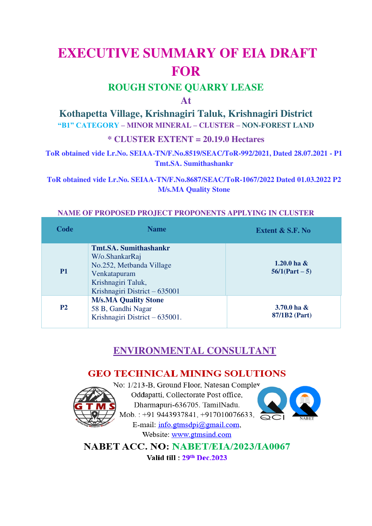# **EXECUTIVE SUMMARY OF EIA DRAFT FOR**

## **ROUGH STONE QUARRY LEASE**

## **At**

## **Kothapetta Village, Krishnagiri Taluk, Krishnagiri District**

**"B1" CATEGORY – MINOR MINERAL – CLUSTER – NON-FOREST LAND**

## **\* CLUSTER EXTENT = 20.19.0 Hectares**

**ToR obtained vide Lr.No. SEIAA-TN/F.No.8519/SEAC/ToR-992/2021, Dated 28.07.2021 - P1 Tmt.SA. Sumithashankr** 

**ToR obtained vide Lr.No. SEIAA-TN/F.No.8687/SEAC/ToR-1067/2022 Dated 01.03.2022 P2 M/s.MA Quality Stone** 

## **NAME OF PROPOSED PROJECT PROPONENTS APPLYING IN CLUSTER**

| Code           | <b>Name</b>                                                                                                                                       | <b>Extent &amp; S.F. No</b>         |
|----------------|---------------------------------------------------------------------------------------------------------------------------------------------------|-------------------------------------|
| <b>P1</b>      | <b>Tmt.SA. Sumithashankr</b><br>W/o.ShankarRaj<br>No.252, Metbanda Village<br>Venkatapuram<br>Krishnagiri Taluk,<br>Krishnagiri District – 635001 | 1.20.0 ha $\&$<br>$56/1$ (Part – 5) |
| P <sub>2</sub> | <b>M/s.MA Quality Stone</b><br>58 B, Gandhi Nagar<br>Krishnagiri District – 635001.                                                               | 3.70.0 ha $\&$<br>87/1B2 (Part)     |

## **ENVIRONMENTAL CONSULTANT**

## **GEO TECHNICAL MINING SOLUTIONS**



No: 1/213-B, Ground Floor, Natesan Compley Oddapatti, Collectorate Post office, Dharmapuri-636705. TamilNadu. Mob.: +91 9443937841, +917010076633, E-mail:  $info.gtms}{\phi\phi$ gmail.com, Website: www.gtmsind.com



NABET ACC. NO: NABET/EIA/2023/IA0067

Valid fill: 29th Dec. 2023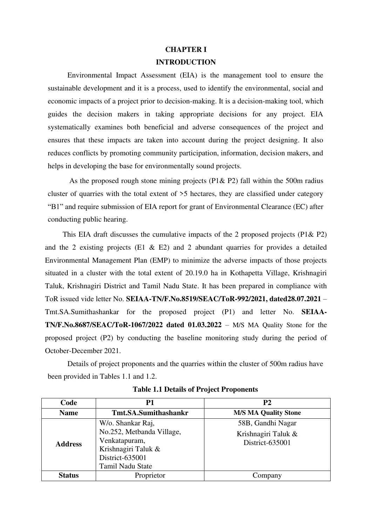## **CHAPTER I INTRODUCTION**

Environmental Impact Assessment (EIA) is the management tool to ensure the sustainable development and it is a process, used to identify the environmental, social and economic impacts of a project prior to decision-making. It is a decision-making tool, which guides the decision makers in taking appropriate decisions for any project. EIA systematically examines both beneficial and adverse consequences of the project and ensures that these impacts are taken into account during the project designing. It also reduces conflicts by promoting community participation, information, decision makers, and helps in developing the base for environmentally sound projects.

As the proposed rough stone mining projects ( $P1& P2$ ) fall within the 500m radius cluster of quarries with the total extent of >5 hectares, they are classified under category "B1" and require submission of EIA report for grant of Environmental Clearance (EC) after conducting public hearing.

This EIA draft discusses the cumulative impacts of the 2 proposed projects (P1& P2) and the 2 existing projects (E1  $\&$  E2) and 2 abundant quarries for provides a detailed Environmental Management Plan (EMP) to minimize the adverse impacts of those projects situated in a cluster with the total extent of 20.19.0 ha in Kothapetta Village, Krishnagiri Taluk, Krishnagiri District and Tamil Nadu State. It has been prepared in compliance with ToR issued vide letter No. **SEIAA-TN/F.No.8519/SEAC/ToR-992/2021, dated28.07.2021** – Tmt.SA.Sumithashankar for the proposed project (P1) and letter No. **SEIAA-TN/F.No.8687/SEAC/ToR-1067/2022 dated 01.03.2022** – M/S MA Quality Stone for the proposed project (P2) by conducting the baseline monitoring study during the period of October-December 2021.

Details of project proponents and the quarries within the cluster of 500m radius have been provided in Tables 1.1 and 1.2.

| Code           | Р1                                         | <b>P2</b>                              |
|----------------|--------------------------------------------|----------------------------------------|
| <b>Name</b>    | <b>Tmt.SA.Sumithashankr</b>                | <b>M/S MA Quality Stone</b>            |
|                | W/o. Shankar Raj,                          | 58B, Gandhi Nagar                      |
| <b>Address</b> | No.252, Metbanda Village,<br>Venkatapuram, | Krishnagiri Taluk &<br>District-635001 |
|                | Krishnagiri Taluk &                        |                                        |
|                | District-635001                            |                                        |
|                | Tamil Nadu State                           |                                        |
| <b>Status</b>  | Proprietor                                 | Company                                |

**Table 1.1 Details of Project Proponents**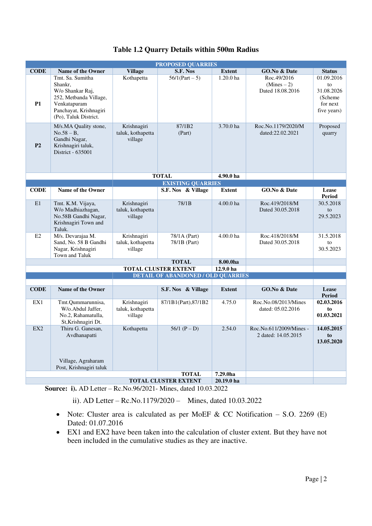| <b>PROPOSED QUARRIES</b> |                                                                                                                                              |                                             |                                           |                      |                                                  |                                                                       |
|--------------------------|----------------------------------------------------------------------------------------------------------------------------------------------|---------------------------------------------|-------------------------------------------|----------------------|--------------------------------------------------|-----------------------------------------------------------------------|
| <b>CODE</b>              | <b>Name of the Owner</b>                                                                                                                     | <b>Village</b>                              | S.F. Nos                                  | <b>Extent</b>        | GO.No & Date                                     | <b>Status</b>                                                         |
| <b>P1</b>                | Tmt. Sa. Sumitha<br>Shankr,<br>W/o Shankar Raj,<br>252, Metbanda Village,<br>Venkatapuram<br>Panchayat, Krishnagiri<br>(Po), Taluk District. | Kothapetta                                  | $56/1$ (Part – 5)                         | 1.20.0 <sub>ha</sub> | Roc.49/2016<br>$(Mines - 2)$<br>Dated 18.08.2016 | 01.09.2016<br>to<br>31.08.2026<br>(Scheme)<br>for next<br>five years) |
| P <sub>2</sub>           | M/s.MA Quality stone,<br>$No.58 - B,$<br>Gandhi Nagar,<br>Krishnagiri taluk,<br>District - 635001                                            | Krishnagiri<br>taluk, kothapetta<br>village | 87/1B2<br>(Part)                          | 3.70.0 ha            | Roc.No.1179/2020/M<br>dated:22.02.2021           | Proposed<br>quarry                                                    |
|                          |                                                                                                                                              |                                             | <b>TOTAL</b>                              | 4.90.0 ha            |                                                  |                                                                       |
|                          |                                                                                                                                              |                                             | <b>EXISTING QUARRIES</b>                  |                      |                                                  |                                                                       |
| <b>CODE</b>              | <b>Name of the Owner</b>                                                                                                                     |                                             | S.F. Nos & Village                        | <b>Extent</b>        | GO.No & Date                                     | Lease<br>Period                                                       |
| E1                       | Tmt. K.M. Vijaya,<br>W/o Madhiazhagan,<br>No.58B Gandhi Nagar,<br>Krishnagiri Town and<br>Taluk.                                             | Krishnagiri<br>taluk, kothapetta<br>village | 78/1B                                     | 4.00.0 ha            | Roc.419/2018/M<br>Dated 30.05.2018               | 30.5.2018<br>to<br>29.5.2023                                          |
| E2                       | M/s. Devarajaa M.<br>Sand, No. 58 B Gandhi<br>Nagar, Krishnagiri<br>Town and Taluk                                                           | Krishnagiri<br>taluk, kothapetta<br>village | 78/1A (Part)<br>78/1B (Part)              | 4.00.0 ha            | Roc.418/2018/M<br>Dated 30.05.2018               | 31.5.2018<br>to<br>30.5.2023                                          |
|                          |                                                                                                                                              |                                             | <b>TOTAL</b>                              | 8.00.0ha             |                                                  |                                                                       |
|                          |                                                                                                                                              |                                             | <b>TOTAL CLUSTER EXTENT</b>               | 12.9.0 ha            |                                                  |                                                                       |
|                          |                                                                                                                                              |                                             | <b>DETAIL OF ABANDONED / OLD QUARRIES</b> |                      |                                                  |                                                                       |
| <b>CODE</b>              | <b>Name of the Owner</b>                                                                                                                     |                                             | S.F. Nos & Village                        | <b>Extent</b>        | GO.No & Date                                     | Lease                                                                 |
| EX1                      | Tmt.Qummarunnisa,<br>W/o.Abdul Jaffer,<br>No.2, Rahamatulla,<br>St, Krishnagiri Dt.                                                          | Krishnagiri<br>taluk, kothapetta<br>village | 87/1B1(Part), 87/1B2                      | 4.75.0               | Roc.No.08/2013/Mines<br>dated: 05.02.2016        | <b>Period</b><br>02.03.2016<br>to<br>01.03.2021                       |
| EX2                      | Thiru G. Ganesan,<br>Avdhanapatti<br>Village, Agraharam<br>Post, Krishnagiri taluk                                                           | Kothapetta                                  | 56/1 $(P - D)$                            | 2.54.0               | Roc.No.611/2009/Mines -<br>2 dated: 14.05.2015   | 14.05.2015<br>to<br>13.05.2020                                        |
|                          |                                                                                                                                              |                                             | <b>TOTAL</b>                              | 7.29.0ha             |                                                  |                                                                       |
|                          |                                                                                                                                              |                                             | <b>TOTAL CLUSTER EXTENT</b>               | 20.19.0 ha           |                                                  |                                                                       |

**Source: i).** AD Letter – Rc.No.96/2021- Mines, dated 10.03.2022

ii). AD Letter – Rc.No.1179/2020 – Mines, dated 10.03.2022

- Note: Cluster area is calculated as per MoEF & CC Notification  $-$  S.O. 2269 (E) Dated: 01.07.2016
- EX1 and EX2 have been taken into the calculation of cluster extent. But they have not been included in the cumulative studies as they are inactive.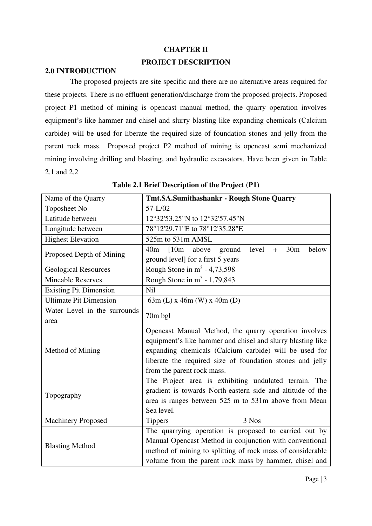#### **CHAPTER II**

#### **PROJECT DESCRIPTION**

#### **2.0 INTRODUCTION**

 The proposed projects are site specific and there are no alternative areas required for these projects. There is no effluent generation/discharge from the proposed projects. Proposed project P1 method of mining is opencast manual method, the quarry operation involves equipment's like hammer and chisel and slurry blasting like expanding chemicals (Calcium carbide) will be used for liberate the required size of foundation stones and jelly from the parent rock mass. Proposed project P2 method of mining is opencast semi mechanized mining involving drilling and blasting, and hydraulic excavators. Have been given in Table 2.1 and 2.2

| Name of the Quarry                   | <b>Tmt.SA.Sumithashankr - Rough Stone Quarry</b>                                        |  |  |  |  |
|--------------------------------------|-----------------------------------------------------------------------------------------|--|--|--|--|
| Toposheet No                         | 57-L/02                                                                                 |  |  |  |  |
| Latitude between                     | 12°32'53.25"N to 12°32'57.45"N                                                          |  |  |  |  |
| Longitude between                    | 78°12'29.71"E to 78°12'35.28"E                                                          |  |  |  |  |
| <b>Highest Elevation</b>             | 525m to 531m AMSL                                                                       |  |  |  |  |
| Proposed Depth of Mining             | level<br>40 <sub>m</sub><br>[10m]<br>30 <sub>m</sub><br>below<br>above<br>ground<br>$+$ |  |  |  |  |
|                                      | ground level] for a first 5 years                                                       |  |  |  |  |
| <b>Geological Resources</b>          | Rough Stone in $m^3$ - 4,73,598                                                         |  |  |  |  |
| <b>Mineable Reserves</b>             | Rough Stone in $m^3$ - 1,79,843                                                         |  |  |  |  |
| <b>Existing Pit Dimension</b><br>Nil |                                                                                         |  |  |  |  |
| <b>Ultimate Pit Dimension</b>        | 63m (L) x 46m (W) x 40m (D)                                                             |  |  |  |  |
| Water Level in the surrounds         | 70m bgl                                                                                 |  |  |  |  |
| area                                 |                                                                                         |  |  |  |  |
|                                      | Opencast Manual Method, the quarry operation involves                                   |  |  |  |  |
|                                      | equipment's like hammer and chisel and slurry blasting like                             |  |  |  |  |
| Method of Mining                     | expanding chemicals (Calcium carbide) will be used for                                  |  |  |  |  |
|                                      | liberate the required size of foundation stones and jelly                               |  |  |  |  |
|                                      | from the parent rock mass.                                                              |  |  |  |  |
|                                      | The Project area is exhibiting undulated terrain. The                                   |  |  |  |  |
| Topography                           | gradient is towards North-eastern side and altitude of the                              |  |  |  |  |
|                                      | area is ranges between 525 m to 531m above from Mean                                    |  |  |  |  |
|                                      | Sea level.                                                                              |  |  |  |  |
| <b>Machinery Proposed</b>            | 3 Nos<br><b>Tippers</b>                                                                 |  |  |  |  |
|                                      | The quarrying operation is proposed to carried out by                                   |  |  |  |  |
| <b>Blasting Method</b>               | Manual Opencast Method in conjunction with conventional                                 |  |  |  |  |
|                                      | method of mining to splitting of rock mass of considerable                              |  |  |  |  |
|                                      | volume from the parent rock mass by hammer, chisel and                                  |  |  |  |  |

**Table 2.1 Brief Description of the Project (P1)**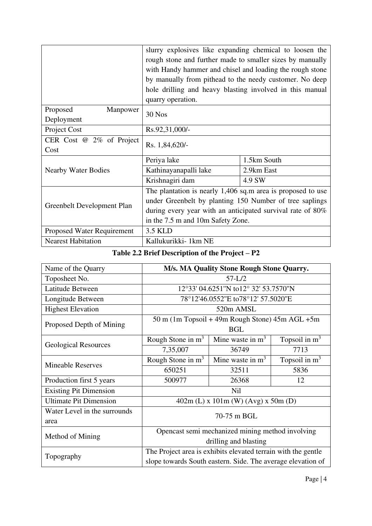|                                   | slurry explosives like expanding chemical to loosen the     |             |  |
|-----------------------------------|-------------------------------------------------------------|-------------|--|
|                                   | rough stone and further made to smaller sizes by manually   |             |  |
|                                   | with Handy hammer and chisel and loading the rough stone    |             |  |
|                                   | by manually from pithead to the needy customer. No deep     |             |  |
|                                   | hole drilling and heavy blasting involved in this manual    |             |  |
|                                   | quarry operation.                                           |             |  |
| Proposed<br>Manpower              | <b>30 Nos</b>                                               |             |  |
| Deployment                        |                                                             |             |  |
| Project Cost                      | Rs.92,31,000/-                                              |             |  |
| CER Cost $@ 2\%$ of Project       | Rs. 1,84,620/-                                              |             |  |
| Cost                              |                                                             |             |  |
|                                   | Periya lake                                                 | 1.5km South |  |
| <b>Nearby Water Bodies</b>        | Kathinayanapalli lake                                       | 2.9km East  |  |
|                                   | Krishnagiri dam                                             | 4.9 SW      |  |
|                                   | The plantation is nearly 1,406 sq.m area is proposed to use |             |  |
| Greenbelt Development Plan        | under Greenbelt by planting 150 Number of tree saplings     |             |  |
|                                   | during every year with an anticipated survival rate of 80%  |             |  |
|                                   | in the 7.5 m and 10m Safety Zone.                           |             |  |
| <b>Proposed Water Requirement</b> | 3.5 KLD                                                     |             |  |
| <b>Nearest Habitation</b>         | Kallukurikki-1km NE                                         |             |  |

## **Table 2.2 Brief Description of the Project – P2**

| Name of the Quarry            | M/s. MA Quality Stone Rough Stone Quarry.                     |                                                           |                 |  |
|-------------------------------|---------------------------------------------------------------|-----------------------------------------------------------|-----------------|--|
| Toposheet No.                 | $57-L/2$                                                      |                                                           |                 |  |
| Latitude Between              |                                                               | 12°33' 04.6251"N to12° 32' 53.7570"N                      |                 |  |
| Longitude Between             |                                                               | 78°12'46.0552"E to78°12' 57.5020"E                        |                 |  |
| <b>Highest Elevation</b>      |                                                               | 520m AMSL                                                 |                 |  |
| Proposed Depth of Mining      |                                                               | $50 \text{ m}$ (1m Topsoil + 49m Rough Stone) 45m AGL +5m |                 |  |
|                               | <b>BGL</b>                                                    |                                                           |                 |  |
|                               | Rough Stone in $m3$                                           | Mine waste in $m3$                                        | Topsoil in $m3$ |  |
| <b>Geological Resources</b>   | 7,35,007                                                      | 36749                                                     | 7713            |  |
| <b>Mineable Reserves</b>      | Rough Stone in $m3$                                           | Mine waste in $m3$                                        | Topsoil in $m3$ |  |
|                               | 650251                                                        | 32511                                                     | 5836            |  |
| Production first 5 years      | 500977                                                        | 26368                                                     | 12              |  |
| <b>Existing Pit Dimension</b> | Nil                                                           |                                                           |                 |  |
| <b>Ultimate Pit Dimension</b> | $402m$ (L) x 101m (W) (Avg) x 50m (D)                         |                                                           |                 |  |
| Water Level in the surrounds  | 70-75 m BGL                                                   |                                                           |                 |  |
| area                          |                                                               |                                                           |                 |  |
| Method of Mining              | Opencast semi mechanized mining method involving              |                                                           |                 |  |
|                               | drilling and blasting                                         |                                                           |                 |  |
| Topography                    | The Project area is exhibits elevated terrain with the gentle |                                                           |                 |  |
|                               | slope towards South eastern. Side. The average elevation of   |                                                           |                 |  |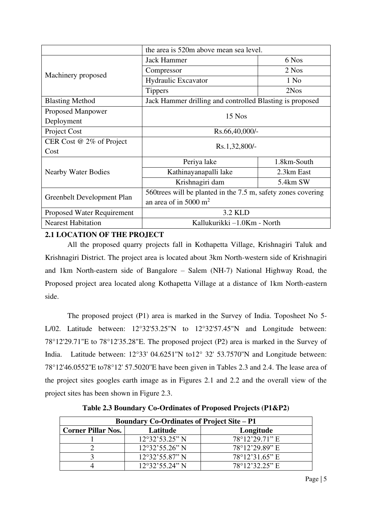|                                   | the area is 520m above mean sea level.                        |             |  |  |
|-----------------------------------|---------------------------------------------------------------|-------------|--|--|
|                                   | <b>Jack Hammer</b>                                            | 6 Nos       |  |  |
|                                   | Compressor                                                    | 2 Nos       |  |  |
| Machinery proposed                | <b>Hydraulic Excavator</b>                                    | $1$ No      |  |  |
|                                   | <b>Tippers</b>                                                | 2Nos        |  |  |
| <b>Blasting Method</b>            | Jack Hammer drilling and controlled Blasting is proposed      |             |  |  |
| <b>Proposed Manpower</b>          | $15$ Nos                                                      |             |  |  |
| Deployment                        |                                                               |             |  |  |
| Project Cost                      | Rs.66,40,000/-                                                |             |  |  |
| CER Cost $@2\%$ of Project        | Rs.1,32,800/-                                                 |             |  |  |
| Cost                              |                                                               |             |  |  |
|                                   | Periya lake                                                   | 1.8km-South |  |  |
| <b>Nearby Water Bodies</b>        | Kathinayanapalli lake                                         | 2.3km East  |  |  |
|                                   | Krishnagiri dam                                               | 5.4km SW    |  |  |
| Greenbelt Development Plan        | 560 trees will be planted in the 7.5 m, safety zones covering |             |  |  |
|                                   | an area of in 5000 m <sup>2</sup>                             |             |  |  |
| <b>Proposed Water Requirement</b> | 3.2 KLD                                                       |             |  |  |
| <b>Nearest Habitation</b>         | Kallukurikki -1.0Km - North                                   |             |  |  |

## **2.1 LOCATION OF THE PROJECT**

All the proposed quarry projects fall in Kothapetta Village, Krishnagiri Taluk and Krishnagiri District. The project area is located about 3km North-western side of Krishnagiri and 1km North-eastern side of Bangalore – Salem (NH-7) National Highway Road, the Proposed project area located along Kothapetta Village at a distance of 1km North-eastern side.

The proposed project (P1) area is marked in the Survey of India. Toposheet No 5- L/02. Latitude between: 12°32'53.25"N to 12°32'57.45"N and Longitude between: 78°12'29.71"E to 78°12'35.28"E. The proposed project (P2) area is marked in the Survey of India. Latitude between: 12°33' 04.6251''N to12° 32' 53.7570''N and Longitude between: 78°12'46.0552''E to78°12' 57.5020''E have been given in Tables 2.3 and 2.4. The lease area of the project sites googles earth image as in Figures 2.1 and 2.2 and the overall view of the project sites has been shown in Figure 2.3.

| <b>Boundary Co-Ordinates of Project Site – P1</b>  |                                |                |  |  |
|----------------------------------------------------|--------------------------------|----------------|--|--|
| <b>Corner Pillar Nos.</b><br>Longitude<br>Latitude |                                |                |  |  |
|                                                    | $12°32'53.25"$ N               | 78°12'29.71" E |  |  |
|                                                    | $12°32'55.26"$ N               | 78°12'29.89" E |  |  |
|                                                    | $12^{\circ}32'55.87''$ N       | 78°12'31.65" E |  |  |
|                                                    | $12^{\circ}32^{\circ}55.24"$ N | 78°12'32.25" E |  |  |

**Table 2.3 Boundary Co-Ordinates of Proposed Projects (P1&P2)**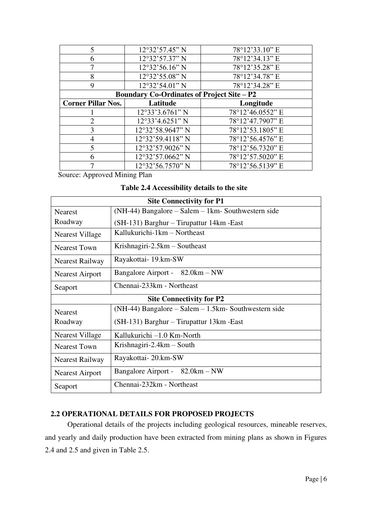| $\overline{\phantom{0}}$  | 12°32'57.45" N                                    | 78°12'33.10" E   |
|---------------------------|---------------------------------------------------|------------------|
| 6                         | 12°32'57.37" N                                    | 78°12'34.13" E   |
|                           | 12°32'56.16" N                                    | 78°12'35.28" E   |
| 8                         | 12°32'55.08" N                                    | 78°12'34.78" E   |
| 9                         | 12°32'54.01" N                                    | 78°12'34.28" E   |
|                           | <b>Boundary Co-Ordinates of Project Site – P2</b> |                  |
| <b>Corner Pillar Nos.</b> | Latitude                                          | Longitude        |
|                           | $12°33'3.6761"$ N                                 | 78°12'46.0552" E |
|                           | 12°33'4.6251" N                                   | 78°12'47.7907" E |
|                           |                                                   |                  |
| 3                         | 12°32'58.9647" N                                  | 78°12'53.1805" E |
|                           | 12°32'59.4118" N                                  | 78°12'56.4576" E |
|                           | 12°32'57.9026" N                                  | 78°12'56.7320" E |
|                           | 12°32'57.0662" N                                  | 78°12'57.5020" E |

Source: Approved Mining Plan

#### **Table 2.4 Accessibility details to the site**

| <b>Site Connectivity for P1</b> |                                                         |  |  |
|---------------------------------|---------------------------------------------------------|--|--|
| <b>Nearest</b>                  | $(NH-44)$ Bangalore – Salem – 1 km - Southwestern side  |  |  |
| Roadway                         | (SH-131) Barghur - Tirupattur 14km - East               |  |  |
| <b>Nearest Village</b>          | Kallukurichi-1km – Northeast                            |  |  |
| <b>Nearest Town</b>             | Krishnagiri-2.5 $km -$ Southeast                        |  |  |
| Nearest Railway                 | Rayakottai-19.km-SW                                     |  |  |
| <b>Nearest Airport</b>          | Bangalore Airport - 82.0km – NW                         |  |  |
| Seaport                         | Chennai-233km - Northeast                               |  |  |
| <b>Site Connectivity for P2</b> |                                                         |  |  |
| <b>Nearest</b>                  | $(NH-44)$ Bangalore – Salem – 1.5km - Southwestern side |  |  |
| Roadway                         | (SH-131) Barghur – Tirupattur 13km - East               |  |  |
| <b>Nearest Village</b>          | Kallukurichi –1.0 Km-North                              |  |  |
| <b>Nearest Town</b>             | Krishnagiri-2.4 $km - South$                            |  |  |
| Nearest Railway                 | Rayakottai-20.km-SW                                     |  |  |
| <b>Nearest Airport</b>          | Bangalore Airport - 82.0km – NW                         |  |  |
| Seaport                         | Chennai-232km - Northeast                               |  |  |

## **2.2 OPERATIONAL DETAILS FOR PROPOSED PROJECTS**

Operational details of the projects including geological resources, mineable reserves, and yearly and daily production have been extracted from mining plans as shown in Figures 2.4 and 2.5 and given in Table 2.5.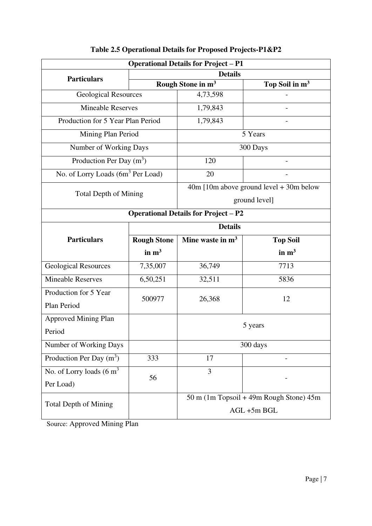| <b>Operational Details for Project - P1</b>   |                               |                                         |                                         |  |
|-----------------------------------------------|-------------------------------|-----------------------------------------|-----------------------------------------|--|
| <b>Particulars</b>                            | <b>Details</b>                |                                         |                                         |  |
|                                               | Rough Stone in m <sup>3</sup> |                                         | Top Soil in m <sup>3</sup>              |  |
| <b>Geological Resources</b>                   |                               | 4,73,598                                |                                         |  |
| <b>Mineable Reserves</b>                      |                               | 1,79,843                                |                                         |  |
| Production for 5 Year Plan Period             |                               | 1,79,843                                |                                         |  |
| Mining Plan Period                            |                               |                                         | 5 Years                                 |  |
| Number of Working Days                        |                               |                                         | 300 Days                                |  |
| Production Per Day $(m^3)$                    |                               | 120                                     |                                         |  |
| No. of Lorry Loads (6m <sup>3</sup> Per Load) |                               | 20                                      |                                         |  |
| <b>Total Depth of Mining</b>                  |                               |                                         | 40m [10m above ground level + 30m below |  |
|                                               |                               | ground level]                           |                                         |  |
| <b>Operational Details for Project - P2</b>   |                               |                                         |                                         |  |
|                                               | <b>Details</b>                |                                         |                                         |  |
| <b>Particulars</b>                            | <b>Rough Stone</b>            | Mine waste in $m3$                      | <b>Top Soil</b>                         |  |
|                                               | in $m3$                       |                                         | in $m3$                                 |  |
| <b>Geological Resources</b>                   | 7,35,007                      | 36,749                                  | 7713                                    |  |
| <b>Mineable Reserves</b>                      | 6,50,251                      | 32,511                                  | 5836                                    |  |
| Production for 5 Year                         | 500977                        | 26,368                                  | 12                                      |  |
| Plan Period                                   |                               |                                         |                                         |  |
| <b>Approved Mining Plan</b>                   |                               | 5 years                                 |                                         |  |
| Period                                        |                               |                                         |                                         |  |
| Number of Working Days                        |                               | 300 days                                |                                         |  |
| Production Per Day $(m^3)$                    | 333                           | 17                                      |                                         |  |
| No. of Lorry loads $(6 \text{ m}^3)$          | 56                            | 3                                       |                                         |  |
| Per Load)                                     |                               |                                         |                                         |  |
|                                               |                               | 50 m (1m Topsoil + 49m Rough Stone) 45m |                                         |  |
| <b>Total Depth of Mining</b>                  |                               | AGL +5m BGL                             |                                         |  |

## **Table 2.5 Operational Details for Proposed Projects-P1&P2**

Source: Approved Mining Plan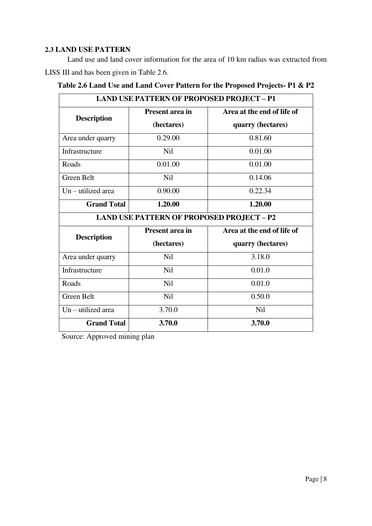### **2.3 LAND USE PATTERN**

Land use and land cover information for the area of 10 km radius was extracted from LISS III and has been given in Table 2.6.

|  |  |  |  | Table 2.6 Land Use and Land Cover Pattern for the Proposed Projects- P1 & P2 |  |  |  |
|--|--|--|--|------------------------------------------------------------------------------|--|--|--|
|  |  |  |  |                                                                              |  |  |  |

| <b>LAND USE PATTERN OF PROPOSED PROJECT - P1</b> |                                                  |                            |  |  |  |
|--------------------------------------------------|--------------------------------------------------|----------------------------|--|--|--|
| <b>Description</b>                               | <b>Present area in</b>                           | Area at the end of life of |  |  |  |
|                                                  | (hectares)                                       | quarry (hectares)          |  |  |  |
| Area under quarry                                | 0.29.00                                          | 0.81.60                    |  |  |  |
| Infrastructure                                   | Nil                                              | 0.01.00                    |  |  |  |
| Roads                                            | 0.01.00                                          | 0.01.00                    |  |  |  |
| <b>Green Belt</b>                                | Nil                                              | 0.14.06                    |  |  |  |
| $Un - utilized area$                             | 0.90.00                                          | 0.22.34                    |  |  |  |
| <b>Grand Total</b>                               | 1.20.00                                          | 1.20.00                    |  |  |  |
|                                                  | <b>LAND USE PATTERN OF PROPOSED PROJECT - P2</b> |                            |  |  |  |
| <b>Description</b>                               | Present area in                                  | Area at the end of life of |  |  |  |
|                                                  | (hectares)                                       | quarry (hectares)          |  |  |  |
| Area under quarry                                | Nil                                              | 3.18.0                     |  |  |  |
| Infrastructure                                   | <b>Nil</b>                                       | 0.01.0                     |  |  |  |
| Roads                                            | Nil                                              | 0.01.0                     |  |  |  |
| Green Belt                                       | <b>Nil</b>                                       | 0.50.0                     |  |  |  |
| $Un - utilized area$                             | 3.70.0                                           | Nil                        |  |  |  |
| <b>Grand Total</b>                               | 3.70.0                                           | 3.70.0                     |  |  |  |

Source: Approved mining plan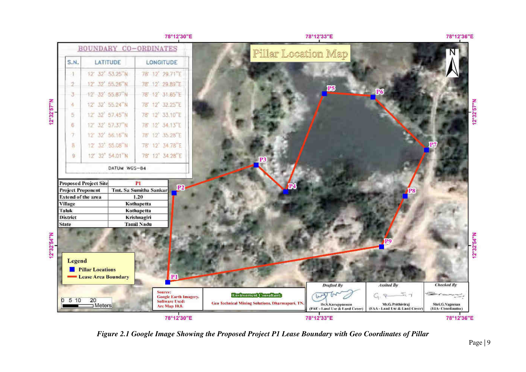

*Figure 2.1 Google Image Showing the Proposed Project P1 Lease Boundary with Geo Coordinates of Pillar*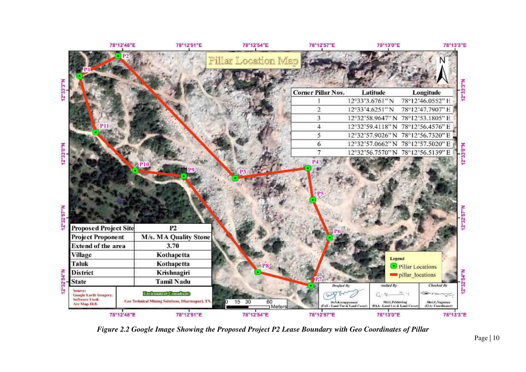

*Figure 2.2 Google Image Showing the Proposed Project P2 Lease Boundary with Geo Coordinates of Pillar*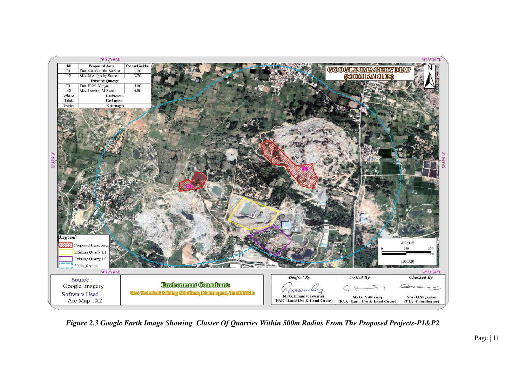

 *Figure 2.3 Google Earth Image Showing Cluster Of Quarries Within 500m Radius From The Proposed Projects-P1&P2*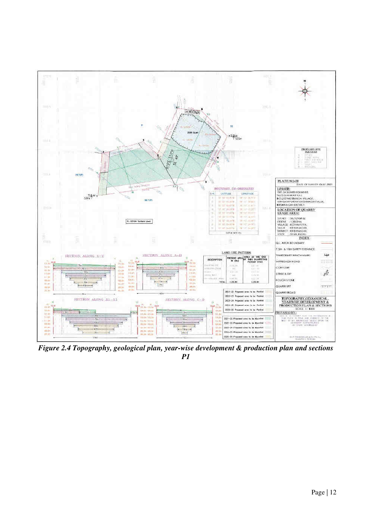

*Figure 2.4 Topography, geological plan, year-wise development & production plan and sections P1*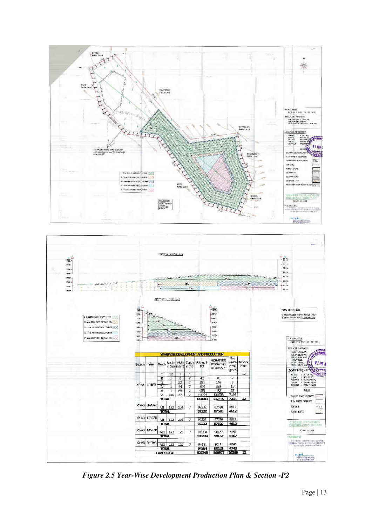



*Figure 2.5 Year-Wise Development Production Plan & Section -P2*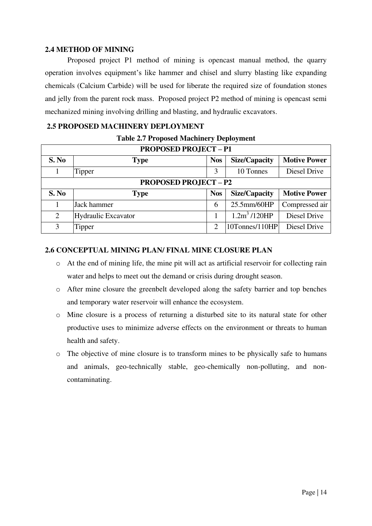#### **2.4 METHOD OF MINING**

Proposed project P1 method of mining is opencast manual method, the quarry operation involves equipment's like hammer and chisel and slurry blasting like expanding chemicals (Calcium Carbide) will be used for liberate the required size of foundation stones and jelly from the parent rock mass. Proposed project P2 method of mining is opencast semi mechanized mining involving drilling and blasting, and hydraulic excavators.

### **2.5 PROPOSED MACHINERY DEPLOYMENT**

| <b>PROPOSED PROJECT - P1</b> |                            |            |                      |                     |  |
|------------------------------|----------------------------|------------|----------------------|---------------------|--|
| S. No                        | <b>Type</b>                | <b>Nos</b> | <b>Size/Capacity</b> | <b>Motive Power</b> |  |
|                              |                            |            |                      |                     |  |
|                              | Tipper                     | 3          | 10 Tonnes            | Diesel Drive        |  |
| <b>PROPOSED PROJECT - P2</b> |                            |            |                      |                     |  |
| S. No                        | <b>Type</b>                | <b>Nos</b> | <b>Size/Capacity</b> | <b>Motive Power</b> |  |
|                              | Jack hammer                | 6          | 25.5mm/60HP          | Compressed air      |  |
| 2                            | <b>Hydraulic Excavator</b> |            | $1.2m^3/120HP$       | Diesel Drive        |  |
| 3                            | Tipper                     | ∍          | 10Tonnes/110HP       | Diesel Drive        |  |

## **2.6 CONCEPTUAL MINING PLAN/ FINAL MINE CLOSURE PLAN**

- o At the end of mining life, the mine pit will act as artificial reservoir for collecting rain water and helps to meet out the demand or crisis during drought season.
- o After mine closure the greenbelt developed along the safety barrier and top benches and temporary water reservoir will enhance the ecosystem.
- o Mine closure is a process of returning a disturbed site to its natural state for other productive uses to minimize adverse effects on the environment or threats to human health and safety.
- o The objective of mine closure is to transform mines to be physically safe to humans and animals, geo-technically stable, geo-chemically non-polluting, and noncontaminating.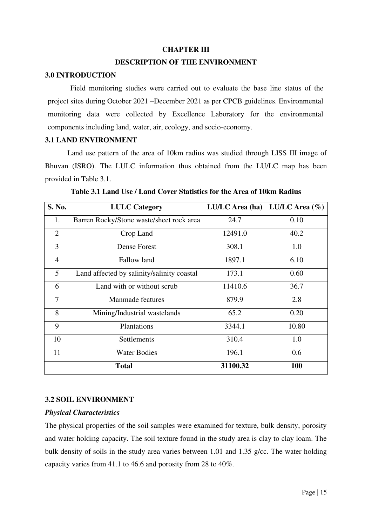#### **CHAPTER III**

#### **DESCRIPTION OF THE ENVIRONMENT**

#### **3.0 INTRODUCTION**

Field monitoring studies were carried out to evaluate the base line status of the project sites during October 2021 –December 2021 as per CPCB guidelines. Environmental monitoring data were collected by Excellence Laboratory for the environmental components including land, water, air, ecology, and socio-economy.

#### **3.1 LAND ENVIRONMENT**

Land use pattern of the area of 10km radius was studied through LISS III image of Bhuvan (ISRO). The LULC information thus obtained from the LU/LC map has been provided in Table 3.1.

| S. No.         | <b>LULC</b> Category                       | LU/LC Area (ha) | LU/LC Area $(\% )$ |
|----------------|--------------------------------------------|-----------------|--------------------|
| 1.             | Barren Rocky/Stone waste/sheet rock area   | 24.7            | 0.10               |
| $\overline{2}$ | Crop Land                                  | 12491.0         | 40.2               |
| 3              | <b>Dense Forest</b>                        | 308.1           | 1.0                |
| $\overline{4}$ | Fallow land                                | 1897.1          | 6.10               |
| 5              | Land affected by salinity/salinity coastal | 173.1           | 0.60               |
| 6              | Land with or without scrub                 | 11410.6         | 36.7               |
| 7              | Manmade features                           | 879.9           | 2.8                |
| 8              | Mining/Industrial wastelands               | 65.2            | 0.20               |
| 9              | Plantations                                | 3344.1          | 10.80              |
| 10             | Settlements                                | 310.4           | 1.0                |
| 11             | <b>Water Bodies</b>                        | 196.1           | 0.6                |
|                | <b>Total</b>                               | 31100.32        | 100                |

**Table 3.1 Land Use / Land Cover Statistics for the Area of 10km Radius** 

#### **3.2 SOIL ENVIRONMENT**

#### *Physical Characteristics*

The physical properties of the soil samples were examined for texture, bulk density, porosity and water holding capacity. The soil texture found in the study area is clay to clay loam. The bulk density of soils in the study area varies between 1.01 and 1.35 g/cc. The water holding capacity varies from 41.1 to 46.6 and porosity from 28 to 40%.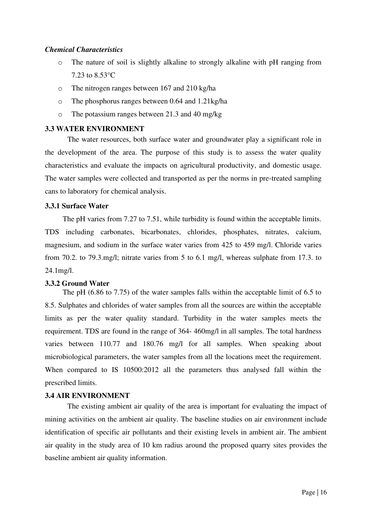#### *Chemical Characteristics*

- o The nature of soil is slightly alkaline to strongly alkaline with pH ranging from 7.23 to 8.53°C
- o The nitrogen ranges between 167 and 210 kg/ha
- o The phosphorus ranges between 0.64 and 1.21kg/ha
- o The potassium ranges between 21.3 and 40 mg/kg

#### **3.3 WATER ENVIRONMENT**

The water resources, both surface water and groundwater play a significant role in the development of the area. The purpose of this study is to assess the water quality characteristics and evaluate the impacts on agricultural productivity, and domestic usage. The water samples were collected and transported as per the norms in pre-treated sampling cans to laboratory for chemical analysis.

#### **3.3.1 Surface Water**

The pH varies from 7.27 to 7.51, while turbidity is found within the acceptable limits. TDS including carbonates, bicarbonates, chlorides, phosphates, nitrates, calcium, magnesium, and sodium in the surface water varies from 425 to 459 mg/l. Chloride varies from 70.2. to 79.3.mg/l; nitrate varies from 5 to 6.1 mg/l, whereas sulphate from 17.3. to 24.1mg/l.

#### **3.3.2 Ground Water**

The pH (6.86 to 7.75) of the water samples falls within the acceptable limit of 6.5 to 8.5. Sulphates and chlorides of water samples from all the sources are within the acceptable limits as per the water quality standard. Turbidity in the water samples meets the requirement. TDS are found in the range of 364- 460mg/l in all samples. The total hardness varies between 110.77 and 180.76 mg/l for all samples. When speaking about microbiological parameters, the water samples from all the locations meet the requirement. When compared to IS 10500:2012 all the parameters thus analysed fall within the prescribed limits.

#### **3.4 AIR ENVIRONMENT**

The existing ambient air quality of the area is important for evaluating the impact of mining activities on the ambient air quality. The baseline studies on air environment include identification of specific air pollutants and their existing levels in ambient air. The ambient air quality in the study area of 10 km radius around the proposed quarry sites provides the baseline ambient air quality information.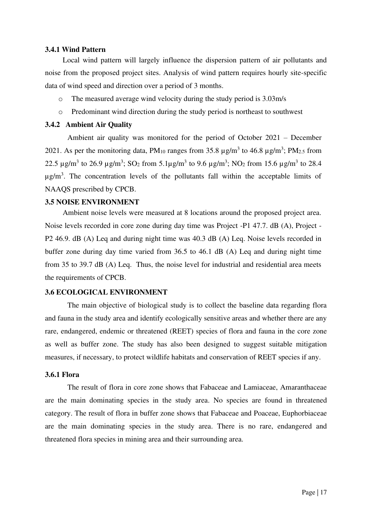#### **3.4.1 Wind Pattern**

Local wind pattern will largely influence the dispersion pattern of air pollutants and noise from the proposed project sites. Analysis of wind pattern requires hourly site-specific data of wind speed and direction over a period of 3 months.

- o The measured average wind velocity during the study period is 3.03m/s
- o Predominant wind direction during the study period is northeast to southwest

#### **3.4.2 Ambient Air Quality**

Ambient air quality was monitored for the period of October 2021 – December 2021. As per the monitoring data, PM<sub>10</sub> ranges from 35.8  $\mu$ g/m<sup>3</sup> to 46.8  $\mu$ g/m<sup>3</sup>; PM<sub>2.5</sub> from 22.5  $\mu$ g/m<sup>3</sup> to 26.9  $\mu$ g/m<sup>3</sup>; SO<sub>2</sub> from 5.1 $\mu$ g/m<sup>3</sup> to 9.6  $\mu$ g/m<sup>3</sup>; NO<sub>2</sub> from 15.6  $\mu$ g/m<sup>3</sup> to 28.4  $\mu$ g/m<sup>3</sup>. The concentration levels of the pollutants fall within the acceptable limits of NAAQS prescribed by CPCB.

#### **3.5 NOISE ENVIRONMENT**

Ambient noise levels were measured at 8 locations around the proposed project area. Noise levels recorded in core zone during day time was Project -P1 47.7. dB (A), Project - P2 46.9. dB (A) Leq and during night time was 40.3 dB (A) Leq. Noise levels recorded in buffer zone during day time varied from 36.5 to 46.1 dB (A) Leq and during night time from 35 to 39.7 dB (A) Leq. Thus, the noise level for industrial and residential area meets the requirements of CPCB.

#### **3.6 ECOLOGICAL ENVIRONMENT**

The main objective of biological study is to collect the baseline data regarding flora and fauna in the study area and identify ecologically sensitive areas and whether there are any rare, endangered, endemic or threatened (REET) species of flora and fauna in the core zone as well as buffer zone. The study has also been designed to suggest suitable mitigation measures, if necessary, to protect wildlife habitats and conservation of REET species if any.

#### **3.6.1 Flora**

The result of flora in core zone shows that Fabaceae and Lamiaceae, Amaranthaceae are the main dominating species in the study area. No species are found in threatened category. The result of flora in buffer zone shows that Fabaceae and Poaceae, Euphorbiaceae are the main dominating species in the study area. There is no rare, endangered and threatened flora species in mining area and their surrounding area.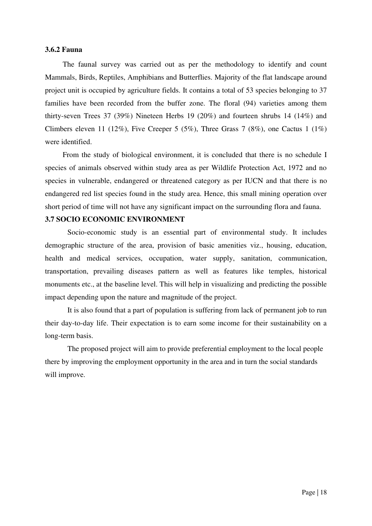#### **3.6.2 Fauna**

The faunal survey was carried out as per the methodology to identify and count Mammals, Birds, Reptiles, Amphibians and Butterflies. Majority of the flat landscape around project unit is occupied by agriculture fields. It contains a total of 53 species belonging to 37 families have been recorded from the buffer zone. The floral (94) varieties among them thirty-seven Trees 37 (39%) Nineteen Herbs 19 (20%) and fourteen shrubs 14 (14%) and Climbers eleven 11 (12%), Five Creeper 5 (5%), Three Grass 7 (8%), one Cactus 1 (1%) were identified.

From the study of biological environment, it is concluded that there is no schedule I species of animals observed within study area as per Wildlife Protection Act, 1972 and no species in vulnerable, endangered or threatened category as per IUCN and that there is no endangered red list species found in the study area. Hence, this small mining operation over short period of time will not have any significant impact on the surrounding flora and fauna.

#### **3.7 SOCIO ECONOMIC ENVIRONMENT**

Socio-economic study is an essential part of environmental study. It includes demographic structure of the area, provision of basic amenities viz., housing, education, health and medical services, occupation, water supply, sanitation, communication, transportation, prevailing diseases pattern as well as features like temples, historical monuments etc., at the baseline level. This will help in visualizing and predicting the possible impact depending upon the nature and magnitude of the project.

It is also found that a part of population is suffering from lack of permanent job to run their day-to-day life. Their expectation is to earn some income for their sustainability on a long-term basis.

The proposed project will aim to provide preferential employment to the local people there by improving the employment opportunity in the area and in turn the social standards will improve.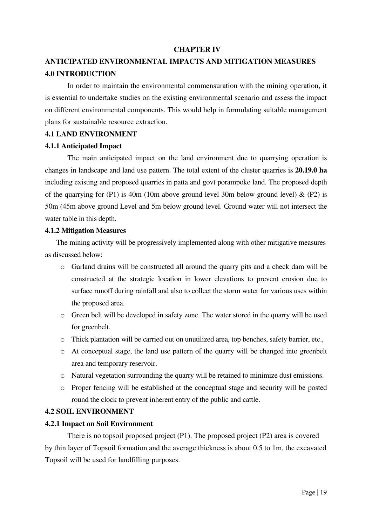#### **CHAPTER IV**

## **ANTICIPATED ENVIRONMENTAL IMPACTS AND MITIGATION MEASURES 4.0 INTRODUCTION**

In order to maintain the environmental commensuration with the mining operation, it is essential to undertake studies on the existing environmental scenario and assess the impact on different environmental components. This would help in formulating suitable management plans for sustainable resource extraction.

#### **4.1 LAND ENVIRONMENT**

#### **4.1.1 Anticipated Impact**

The main anticipated impact on the land environment due to quarrying operation is changes in landscape and land use pattern. The total extent of the cluster quarries is **20.19.0 ha** including existing and proposed quarries in patta and govt porampoke land. The proposed depth of the quarrying for (P1) is 40m (10m above ground level 30m below ground level)  $\&$  (P2) is 50m (45m above ground Level and 5m below ground level. Ground water will not intersect the water table in this depth.

#### **4.1.2 Mitigation Measures**

The mining activity will be progressively implemented along with other mitigative measures as discussed below:

- o Garland drains will be constructed all around the quarry pits and a check dam will be constructed at the strategic location in lower elevations to prevent erosion due to surface runoff during rainfall and also to collect the storm water for various uses within the proposed area.
- o Green belt will be developed in safety zone. The water stored in the quarry will be used for greenbelt.
- o Thick plantation will be carried out on unutilized area, top benches, safety barrier, etc.,
- o At conceptual stage, the land use pattern of the quarry will be changed into greenbelt area and temporary reservoir.
- o Natural vegetation surrounding the quarry will be retained to minimize dust emissions.
- o Proper fencing will be established at the conceptual stage and security will be posted round the clock to prevent inherent entry of the public and cattle.

#### **4.2 SOIL ENVIRONMENT**

#### **4.2.1 Impact on Soil Environment**

There is no topsoil proposed project (P1). The proposed project (P2) area is covered by thin layer of Topsoil formation and the average thickness is about 0.5 to 1m, the excavated Topsoil will be used for landfilling purposes.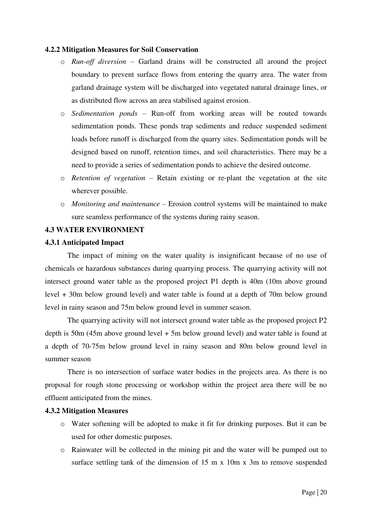#### **4.2.2 Mitigation Measures for Soil Conservation**

- o *Run-off diversion* Garland drains will be constructed all around the project boundary to prevent surface flows from entering the quarry area. The water from garland drainage system will be discharged into vegetated natural drainage lines, or as distributed flow across an area stabilised against erosion.
- o *Sedimentation ponds* Run-off from working areas will be routed towards sedimentation ponds. These ponds trap sediments and reduce suspended sediment loads before runoff is discharged from the quarry sites. Sedimentation ponds will be designed based on runoff, retention times, and soil characteristics. There may be a need to provide a series of sedimentation ponds to achieve the desired outcome.
- o *Retention of vegetation* Retain existing or re-plant the vegetation at the site wherever possible.
- o *Monitoring and maintenance* Erosion control systems will be maintained to make sure seamless performance of the systems during rainy season.

#### **4.3 WATER ENVIRONMENT**

#### **4.3.1 Anticipated Impact**

The impact of mining on the water quality is insignificant because of no use of chemicals or hazardous substances during quarrying process. The quarrying activity will not intersect ground water table as the proposed project P1 depth is 40m (10m above ground level + 30m below ground level) and water table is found at a depth of 70m below ground level in rainy season and 75m below ground level in summer season.

The quarrying activity will not intersect ground water table as the proposed project P2 depth is 50m (45m above ground level + 5m below ground level) and water table is found at a depth of 70-75m below ground level in rainy season and 80m below ground level in summer season

 There is no intersection of surface water bodies in the projects area. As there is no proposal for rough stone processing or workshop within the project area there will be no effluent anticipated from the mines.

#### **4.3.2 Mitigation Measures**

- o Water softening will be adopted to make it fit for drinking purposes. But it can be used for other domestic purposes.
- o Rainwater will be collected in the mining pit and the water will be pumped out to surface settling tank of the dimension of 15 m x 10m x 3m to remove suspended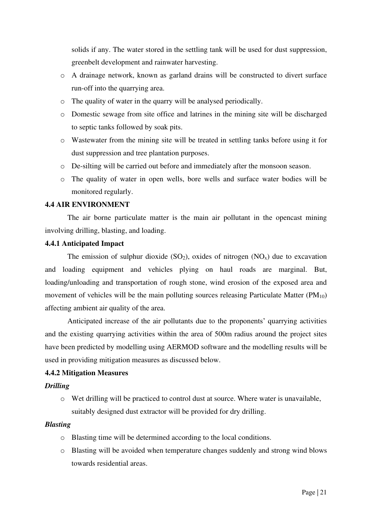solids if any. The water stored in the settling tank will be used for dust suppression, greenbelt development and rainwater harvesting.

- o A drainage network, known as garland drains will be constructed to divert surface run-off into the quarrying area.
- o The quality of water in the quarry will be analysed periodically.
- o Domestic sewage from site office and latrines in the mining site will be discharged to septic tanks followed by soak pits.
- o Wastewater from the mining site will be treated in settling tanks before using it for dust suppression and tree plantation purposes.
- o De-silting will be carried out before and immediately after the monsoon season.
- o The quality of water in open wells, bore wells and surface water bodies will be monitored regularly.

#### **4.4 AIR ENVIRONMENT**

The air borne particulate matter is the main air pollutant in the opencast mining involving drilling, blasting, and loading.

#### **4.4.1 Anticipated Impact**

The emission of sulphur dioxide  $(SO_2)$ , oxides of nitrogen  $(NO<sub>x</sub>)$  due to excavation and loading equipment and vehicles plying on haul roads are marginal. But, loading/unloading and transportation of rough stone, wind erosion of the exposed area and movement of vehicles will be the main polluting sources releasing Particulate Matter  $(PM_{10})$ affecting ambient air quality of the area.

Anticipated increase of the air pollutants due to the proponents' quarrying activities and the existing quarrying activities within the area of 500m radius around the project sites have been predicted by modelling using AERMOD software and the modelling results will be used in providing mitigation measures as discussed below.

#### **4.4.2 Mitigation Measures**

#### *Drilling*

o Wet drilling will be practiced to control dust at source. Where water is unavailable, suitably designed dust extractor will be provided for dry drilling.

#### *Blasting*

- o Blasting time will be determined according to the local conditions.
- o Blasting will be avoided when temperature changes suddenly and strong wind blows towards residential areas.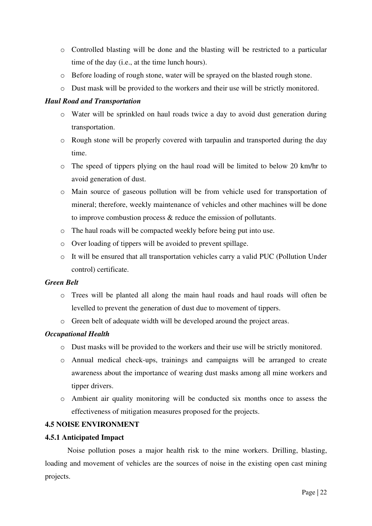- o Controlled blasting will be done and the blasting will be restricted to a particular time of the day (i.e., at the time lunch hours).
- o Before loading of rough stone, water will be sprayed on the blasted rough stone.
- o Dust mask will be provided to the workers and their use will be strictly monitored.

#### *Haul Road and Transportation*

- o Water will be sprinkled on haul roads twice a day to avoid dust generation during transportation.
- o Rough stone will be properly covered with tarpaulin and transported during the day time.
- o The speed of tippers plying on the haul road will be limited to below 20 km/hr to avoid generation of dust.
- o Main source of gaseous pollution will be from vehicle used for transportation of mineral; therefore, weekly maintenance of vehicles and other machines will be done to improve combustion process & reduce the emission of pollutants.
- o The haul roads will be compacted weekly before being put into use.
- o Over loading of tippers will be avoided to prevent spillage.
- o It will be ensured that all transportation vehicles carry a valid PUC (Pollution Under control) certificate.

#### *Green Belt*

- o Trees will be planted all along the main haul roads and haul roads will often be levelled to prevent the generation of dust due to movement of tippers.
- o Green belt of adequate width will be developed around the project areas.

### *Occupational Health*

- o Dust masks will be provided to the workers and their use will be strictly monitored.
- o Annual medical check-ups, trainings and campaigns will be arranged to create awareness about the importance of wearing dust masks among all mine workers and tipper drivers.
- o Ambient air quality monitoring will be conducted six months once to assess the effectiveness of mitigation measures proposed for the projects.

#### **4.5 NOISE ENVIRONMENT**

#### **4.5.1 Anticipated Impact**

Noise pollution poses a major health risk to the mine workers. Drilling, blasting, loading and movement of vehicles are the sources of noise in the existing open cast mining projects.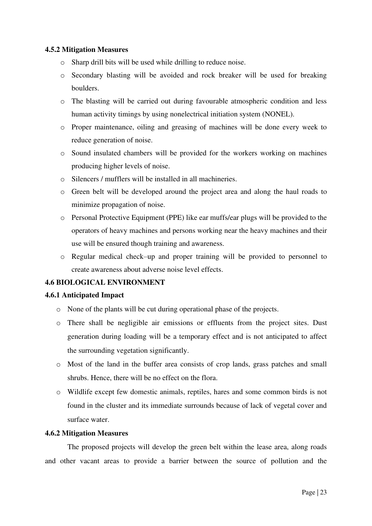#### **4.5.2 Mitigation Measures**

- o Sharp drill bits will be used while drilling to reduce noise.
- o Secondary blasting will be avoided and rock breaker will be used for breaking boulders.
- o The blasting will be carried out during favourable atmospheric condition and less human activity timings by using nonelectrical initiation system (NONEL).
- o Proper maintenance, oiling and greasing of machines will be done every week to reduce generation of noise.
- o Sound insulated chambers will be provided for the workers working on machines producing higher levels of noise.
- o Silencers / mufflers will be installed in all machineries.
- o Green belt will be developed around the project area and along the haul roads to minimize propagation of noise.
- o Personal Protective Equipment (PPE) like ear muffs/ear plugs will be provided to the operators of heavy machines and persons working near the heavy machines and their use will be ensured though training and awareness.
- o Regular medical check–up and proper training will be provided to personnel to create awareness about adverse noise level effects.

### **4.6 BIOLOGICAL ENVIRONMENT**

#### **4.6.1 Anticipated Impact**

- o None of the plants will be cut during operational phase of the projects.
- o There shall be negligible air emissions or effluents from the project sites. Dust generation during loading will be a temporary effect and is not anticipated to affect the surrounding vegetation significantly.
- o Most of the land in the buffer area consists of crop lands, grass patches and small shrubs. Hence, there will be no effect on the flora.
- o Wildlife except few domestic animals, reptiles, hares and some common birds is not found in the cluster and its immediate surrounds because of lack of vegetal cover and surface water.

#### **4.6.2 Mitigation Measures**

The proposed projects will develop the green belt within the lease area, along roads and other vacant areas to provide a barrier between the source of pollution and the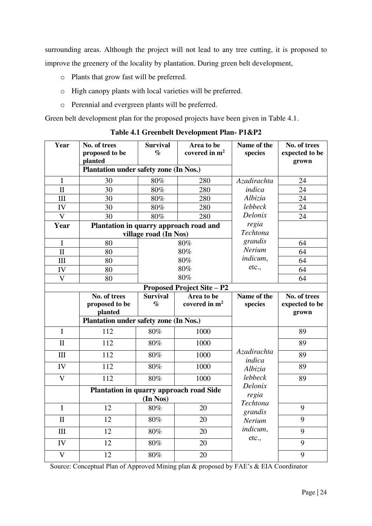surrounding areas. Although the project will not lead to any tree cutting, it is proposed to improve the greenery of the locality by plantation. During green belt development,

- o Plants that grow fast will be preferred.
- o High canopy plants with local varieties will be preferred.
- o Perennial and evergreen plants will be preferred.

Green belt development plan for the proposed projects have been given in Table 4.1.

Year No. of trees **proposed to be planted Survival % Area to be covered in m<sup>2</sup> Name of the species No. of trees expected to be grown Plantation under safety zone (In Nos.)**  I 30 80% 280 *Azadirachta indica Albizia lebbeck Delonix regia Techtona grandis Nerium indicum*, etc., 24 II 30 80% 280 *indica* 24 III | 30 | 80% | 280 | Albizia | 24 IV | 30 | 80% | 280 | lebbeck | 24 V 30 80% 280 Delonix 24 **Year Plantation in quarry approach road and village road (In Nos)**   $I = 80$  80% 80% 80% 80% 80% 64  $II \t 80 \t 80\%$  Nerum 64 III  $\begin{array}{|c|c|c|c|c|c|c|c|} \hline \end{array}$  80% Indicum, 64 IV  $80$   $80\%$   $90\%$  etc., 64  $V = 80$  80% 64 **Proposed Project Site – P2 No. of trees proposed to be planted Survival % Area to be covered in m<sup>2</sup> Name of the species No. of trees expected to be grown Plantation under safety zone (In Nos.)**   $I = \begin{bmatrix} 112 & 80\% & 1000 \end{bmatrix}$ *Azadirachta indica Albizia lebbeck Delonix regia Techtona grandis Nerium indicum*, etc., 89  $II \t 112 \t 80\% \t 1000 \t 89$  $III$  112  $80\%$  1000  $x_i$  89 IV | 112 | 80% | 1000 |  $Albizia$  | 89 V | 112 | 80% | 1000 | lebbeck | 89 **Plantation in quarry approach road Side (In Nos)**  $1 \t 12 \t 80\% \t 20 \t 20 \t 32\%$ II | 12 | 80% | 20 | Nerium | 9  $III$  12  $80\%$  20  $10\%$  9 IV |  $12$  |  $80\%$  |  $20$  |  $20$  | 9  $V$  12 80% 20 9

**Table 4.1 Greenbelt Development Plan- P1&P2** 

Source: Conceptual Plan of Approved Mining plan & proposed by FAE's & EIA Coordinator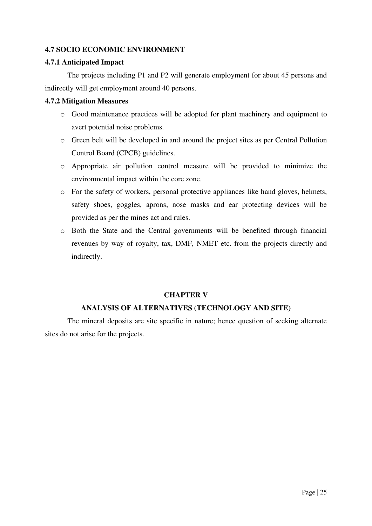### **4.7 SOCIO ECONOMIC ENVIRONMENT**

#### **4.7.1 Anticipated Impact**

The projects including P1 and P2 will generate employment for about 45 persons and indirectly will get employment around 40 persons.

### **4.7.2 Mitigation Measures**

- o Good maintenance practices will be adopted for plant machinery and equipment to avert potential noise problems.
- o Green belt will be developed in and around the project sites as per Central Pollution Control Board (CPCB) guidelines.
- o Appropriate air pollution control measure will be provided to minimize the environmental impact within the core zone.
- o For the safety of workers, personal protective appliances like hand gloves, helmets, safety shoes, goggles, aprons, nose masks and ear protecting devices will be provided as per the mines act and rules.
- o Both the State and the Central governments will be benefited through financial revenues by way of royalty, tax, DMF, NMET etc. from the projects directly and indirectly.

## **CHAPTER V**

### **ANALYSIS OF ALTERNATIVES (TECHNOLOGY AND SITE)**

The mineral deposits are site specific in nature; hence question of seeking alternate sites do not arise for the projects.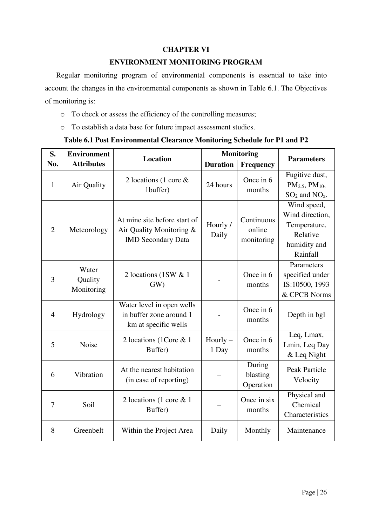### **CHAPTER VI**

#### **ENVIRONMENT MONITORING PROGRAM**

Regular monitoring program of environmental components is essential to take into account the changes in the environmental components as shown in Table 6.1. The Objectives of monitoring is:

- o To check or assess the efficiency of the controlling measures;
- o To establish a data base for future impact assessment studies.

#### **Table 6.1 Post Environmental Clearance Monitoring Schedule for P1 and P2**

| S.<br><b>Environment</b> |                                                                                           | <b>Location</b>                                                                       |                     | <b>Monitoring</b>                  | <b>Parameters</b>                                                                      |  |
|--------------------------|-------------------------------------------------------------------------------------------|---------------------------------------------------------------------------------------|---------------------|------------------------------------|----------------------------------------------------------------------------------------|--|
| No.                      | <b>Attributes</b>                                                                         |                                                                                       | <b>Duration</b>     | Frequency                          |                                                                                        |  |
| $\mathbf{1}$             | Air Quality                                                                               | 2 locations (1 core $\&$<br>1buffer)                                                  | 24 hours            | Once in 6<br>months                | Fugitive dust,<br>$PM_{2.5}$ , $PM_{10}$ ,<br>$SO2$ and $NOx$ .                        |  |
| $\overline{2}$           | Meteorology                                                                               | At mine site before start of<br>Air Quality Monitoring &<br><b>IMD Secondary Data</b> | Hourly /<br>Daily   | Continuous<br>online<br>monitoring | Wind speed,<br>Wind direction,<br>Temperature,<br>Relative<br>humidity and<br>Rainfall |  |
| 3                        | Water<br>2 locations (1SW & 1)<br>Quality<br>GW<br>Monitoring                             |                                                                                       |                     | Once in 6<br>months                | Parameters<br>specified under<br>IS:10500, 1993<br>& CPCB Norms                        |  |
| $\overline{4}$           | Water level in open wells<br>in buffer zone around 1<br>Hydrology<br>km at specific wells |                                                                                       |                     | Once in 6<br>months                | Depth in bgl                                                                           |  |
| 5                        | 2 locations (1Core & 1)<br>Noise<br>Buffer)                                               |                                                                                       | Hourly $-$<br>1 Day | Once in 6<br>months                | Leq, Lmax,<br>Lmin, Leq Day<br>& Leq Night                                             |  |
| 6                        | At the nearest habitation<br>Vibration<br>(in case of reporting)                          |                                                                                       |                     | During<br>blasting<br>Operation    | <b>Peak Particle</b><br>Velocity                                                       |  |
| 7                        | Soil                                                                                      | 2 locations (1 core $\&$ 1<br>Buffer)                                                 |                     | Once in six<br>months              | Physical and<br>Chemical<br>Characteristics                                            |  |
| 8                        | Greenbelt<br>Within the Project Area                                                      |                                                                                       | Daily               | Monthly                            | Maintenance                                                                            |  |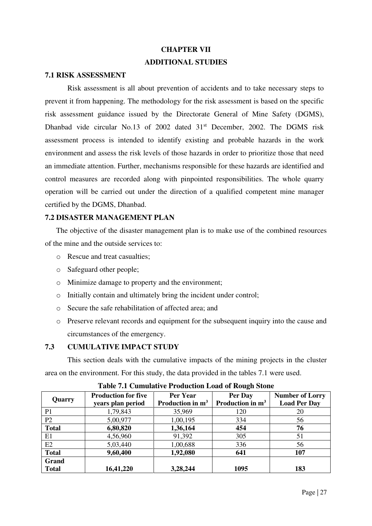## **CHAPTER VII ADDITIONAL STUDIES**

#### **7.1 RISK ASSESSMENT**

Risk assessment is all about prevention of accidents and to take necessary steps to prevent it from happening. The methodology for the risk assessment is based on the specific risk assessment guidance issued by the Directorate General of Mine Safety (DGMS), Dhanbad vide circular No.13 of 2002 dated 31<sup>st</sup> December, 2002. The DGMS risk assessment process is intended to identify existing and probable hazards in the work environment and assess the risk levels of those hazards in order to prioritize those that need an immediate attention. Further, mechanisms responsible for these hazards are identified and control measures are recorded along with pinpointed responsibilities. The whole quarry operation will be carried out under the direction of a qualified competent mine manager certified by the DGMS, Dhanbad.

#### **7.2 DISASTER MANAGEMENT PLAN**

The objective of the disaster management plan is to make use of the combined resources of the mine and the outside services to:

- o Rescue and treat casualties;
- o Safeguard other people;
- o Minimize damage to property and the environment;
- o Initially contain and ultimately bring the incident under control;
- o Secure the safe rehabilitation of affected area; and
- o Preserve relevant records and equipment for the subsequent inquiry into the cause and circumstances of the emergency.

#### **7.3 CUMULATIVE IMPACT STUDY**

This section deals with the cumulative impacts of the mining projects in the cluster area on the environment. For this study, the data provided in the tables 7.1 were used.

| Quarry         | <b>Production for five</b><br>years plan period | Per Year<br>Production in $m3$ | Per Day<br>Production in m <sup>3</sup> | <b>Number of Lorry</b><br><b>Load Per Day</b> |
|----------------|-------------------------------------------------|--------------------------------|-----------------------------------------|-----------------------------------------------|
| P <sub>1</sub> | 1,79,843                                        | 35,969                         | 120                                     | 20                                            |
| P2             | 5,00,977                                        | 1,00,195                       | 334                                     | 56                                            |
| <b>Total</b>   | 6,80,820                                        | 1,36,164                       | 454                                     | 76                                            |
| E1             | 4,56,960                                        | 91,392                         | 305                                     | 51                                            |
| E2             | 5,03,440                                        | 1,00,688                       | 336                                     | 56                                            |
| <b>Total</b>   | 9,60,400                                        | 1,92,080                       | 641                                     | 107                                           |
| Grand          |                                                 |                                |                                         |                                               |
| <b>Total</b>   | 16,41,220                                       | 3,28,244                       | 1095                                    | 183                                           |

#### **Table 7.1 Cumulative Production Load of Rough Stone**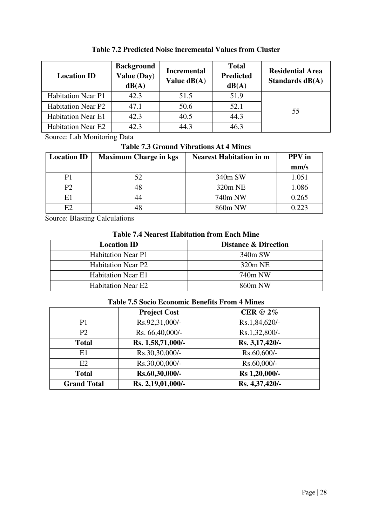| <b>Location ID</b>        | <b>Background</b><br><b>Value (Day)</b><br>dB(A) | <b>Incremental</b><br>Value $dB(A)$ | <b>Total</b><br><b>Predicted</b><br>dB(A) | <b>Residential Area</b><br>Standards $dB(A)$ |
|---------------------------|--------------------------------------------------|-------------------------------------|-------------------------------------------|----------------------------------------------|
| <b>Habitation Near P1</b> | 42.3                                             | 51.5                                | 51.9                                      |                                              |
| <b>Habitation Near P2</b> | 47.1                                             | 50.6                                | 52.1                                      | 55                                           |
| <b>Habitation Near E1</b> | 42.3                                             | 40.5                                | 44.3                                      |                                              |
| <b>Habitation Near E2</b> | 42.3                                             | 44.3                                | 46.3                                      |                                              |

**Table 7.2 Predicted Noise incremental Values from Cluster** 

Source: Lab Monitoring Data

**Table 7.3 Ground Vibrations At 4 Mines** 

| <b>Location ID</b> | <b>Maximum Charge in kgs</b> | <b>Nearest Habitation in m</b> | <b>PPV</b> in |
|--------------------|------------------------------|--------------------------------|---------------|
|                    |                              |                                | mm/s          |
| P1                 |                              | 340m SW                        | 1.051         |
| P2                 |                              | 320m NE                        | 1.086         |
| E1                 |                              | 740m NW                        | 0.265         |
| E2                 |                              | 860m NW                        | 0.223         |

Source: Blasting Calculations

| <b>Table 7.4 Nearest Habitation from Each Mine</b> |  |  |  |  |
|----------------------------------------------------|--|--|--|--|
|----------------------------------------------------|--|--|--|--|

| <b>Location ID</b>        | <b>Distance &amp; Direction</b> |
|---------------------------|---------------------------------|
| <b>Habitation Near P1</b> | 340m SW                         |
| <b>Habitation Near P2</b> | $320m$ NE                       |
| <b>Habitation Near E1</b> | 740m NW                         |
| <b>Habitation Near E2</b> | 860m NW                         |

|                    | <b>Project Cost</b> | <b>CER</b> @ 2% |
|--------------------|---------------------|-----------------|
| P <sub>1</sub>     | Rs.92,31,000/-      | Rs.1,84,620/-   |
| P <sub>2</sub>     | Rs. 66,40,000/-     | Rs.1,32,800/-   |
| <b>Total</b>       | Rs. 1,58,71,000/-   | Rs. 3,17,420/-  |
| E1                 | Rs.30,30,000/-      | Rs.60,600/-     |
| E2                 | Rs.30,00,000/-      | Rs.60,000/-     |
| <b>Total</b>       | Rs.60,30,000/-      | Rs 1,20,000/-   |
| <b>Grand Total</b> | Rs. 2,19,01,000/-   | Rs. 4,37,420/-  |